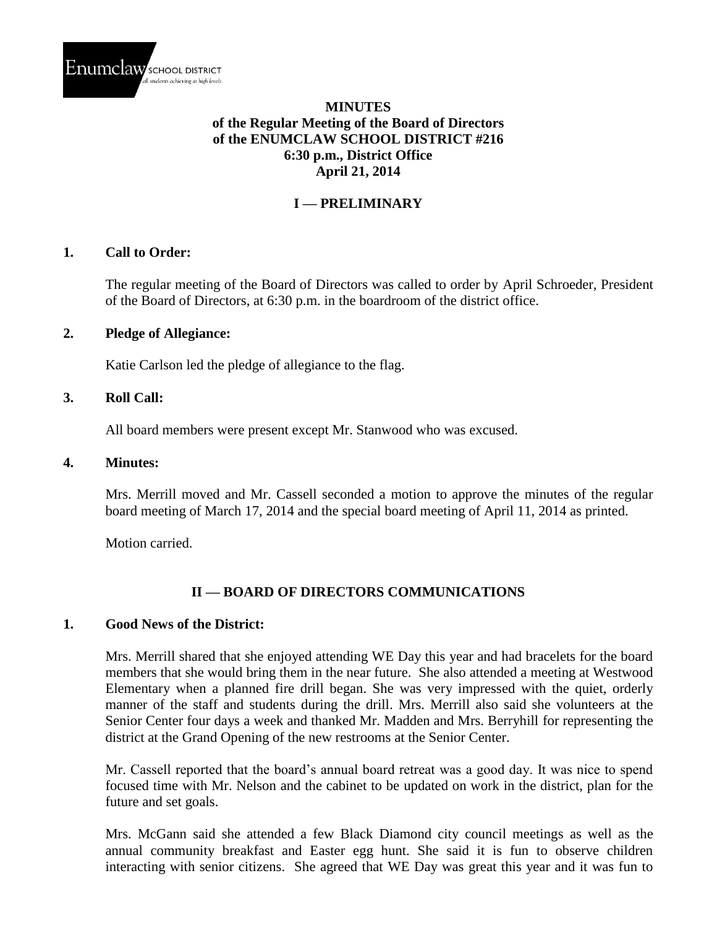

### **MINUTES of the Regular Meeting of the Board of Directors of the ENUMCLAW SCHOOL DISTRICT #216 6:30 p.m., District Office April 21, 2014**

# **I — PRELIMINARY**

#### **1. Call to Order:**

The regular meeting of the Board of Directors was called to order by April Schroeder, President of the Board of Directors, at 6:30 p.m. in the boardroom of the district office.

#### **2. Pledge of Allegiance:**

Katie Carlson led the pledge of allegiance to the flag.

#### **3. Roll Call:**

All board members were present except Mr. Stanwood who was excused.

#### **4. Minutes:**

Mrs. Merrill moved and Mr. Cassell seconded a motion to approve the minutes of the regular board meeting of March 17, 2014 and the special board meeting of April 11, 2014 as printed.

Motion carried.

## **II — BOARD OF DIRECTORS COMMUNICATIONS**

#### **1. Good News of the District:**

Mrs. Merrill shared that she enjoyed attending WE Day this year and had bracelets for the board members that she would bring them in the near future. She also attended a meeting at Westwood Elementary when a planned fire drill began. She was very impressed with the quiet, orderly manner of the staff and students during the drill. Mrs. Merrill also said she volunteers at the Senior Center four days a week and thanked Mr. Madden and Mrs. Berryhill for representing the district at the Grand Opening of the new restrooms at the Senior Center.

Mr. Cassell reported that the board's annual board retreat was a good day. It was nice to spend focused time with Mr. Nelson and the cabinet to be updated on work in the district, plan for the future and set goals.

Mrs. McGann said she attended a few Black Diamond city council meetings as well as the annual community breakfast and Easter egg hunt. She said it is fun to observe children interacting with senior citizens. She agreed that WE Day was great this year and it was fun to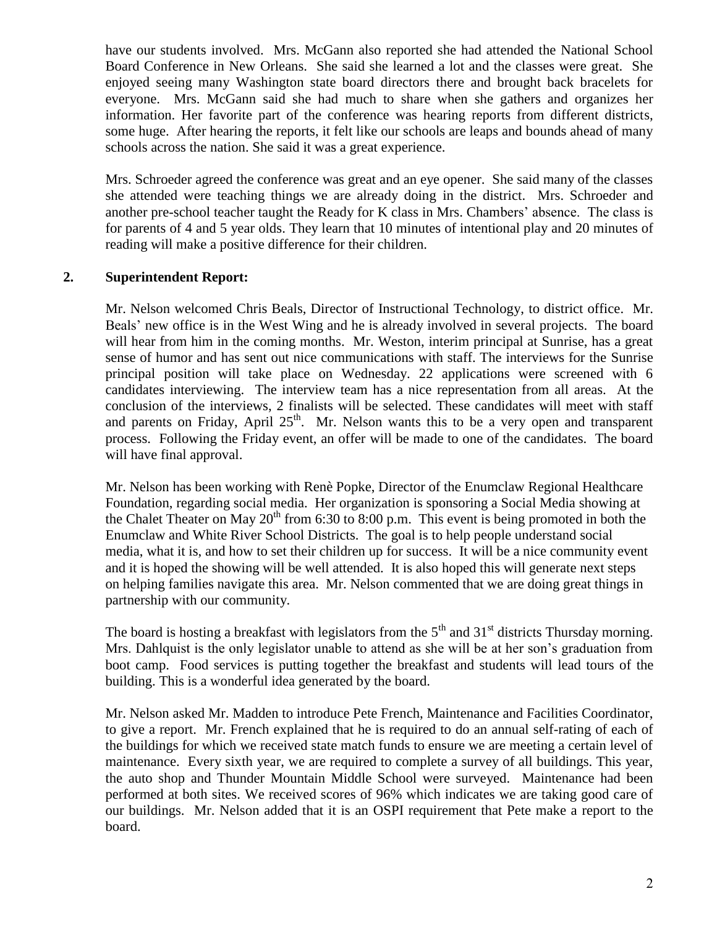have our students involved. Mrs. McGann also reported she had attended the National School Board Conference in New Orleans. She said she learned a lot and the classes were great. She enjoyed seeing many Washington state board directors there and brought back bracelets for everyone. Mrs. McGann said she had much to share when she gathers and organizes her information. Her favorite part of the conference was hearing reports from different districts, some huge. After hearing the reports, it felt like our schools are leaps and bounds ahead of many schools across the nation. She said it was a great experience.

Mrs. Schroeder agreed the conference was great and an eye opener. She said many of the classes she attended were teaching things we are already doing in the district. Mrs. Schroeder and another pre-school teacher taught the Ready for K class in Mrs. Chambers' absence. The class is for parents of 4 and 5 year olds. They learn that 10 minutes of intentional play and 20 minutes of reading will make a positive difference for their children.

## **2. Superintendent Report:**

Mr. Nelson welcomed Chris Beals, Director of Instructional Technology, to district office. Mr. Beals' new office is in the West Wing and he is already involved in several projects. The board will hear from him in the coming months. Mr. Weston, interim principal at Sunrise, has a great sense of humor and has sent out nice communications with staff. The interviews for the Sunrise principal position will take place on Wednesday. 22 applications were screened with 6 candidates interviewing. The interview team has a nice representation from all areas. At the conclusion of the interviews, 2 finalists will be selected. These candidates will meet with staff and parents on Friday, April  $25<sup>th</sup>$ . Mr. Nelson wants this to be a very open and transparent process. Following the Friday event, an offer will be made to one of the candidates. The board will have final approval.

Mr. Nelson has been working with Renè Popke, Director of the Enumclaw Regional Healthcare Foundation, regarding social media. Her organization is sponsoring a Social Media showing at the Chalet Theater on May  $20<sup>th</sup>$  from 6:30 to 8:00 p.m. This event is being promoted in both the Enumclaw and White River School Districts. The goal is to help people understand social media, what it is, and how to set their children up for success. It will be a nice community event and it is hoped the showing will be well attended. It is also hoped this will generate next steps on helping families navigate this area. Mr. Nelson commented that we are doing great things in partnership with our community.

The board is hosting a breakfast with legislators from the  $5<sup>th</sup>$  and  $31<sup>st</sup>$  districts Thursday morning. Mrs. Dahlquist is the only legislator unable to attend as she will be at her son's graduation from boot camp. Food services is putting together the breakfast and students will lead tours of the building. This is a wonderful idea generated by the board.

Mr. Nelson asked Mr. Madden to introduce Pete French, Maintenance and Facilities Coordinator, to give a report. Mr. French explained that he is required to do an annual self-rating of each of the buildings for which we received state match funds to ensure we are meeting a certain level of maintenance. Every sixth year, we are required to complete a survey of all buildings. This year, the auto shop and Thunder Mountain Middle School were surveyed. Maintenance had been performed at both sites. We received scores of 96% which indicates we are taking good care of our buildings. Mr. Nelson added that it is an OSPI requirement that Pete make a report to the board.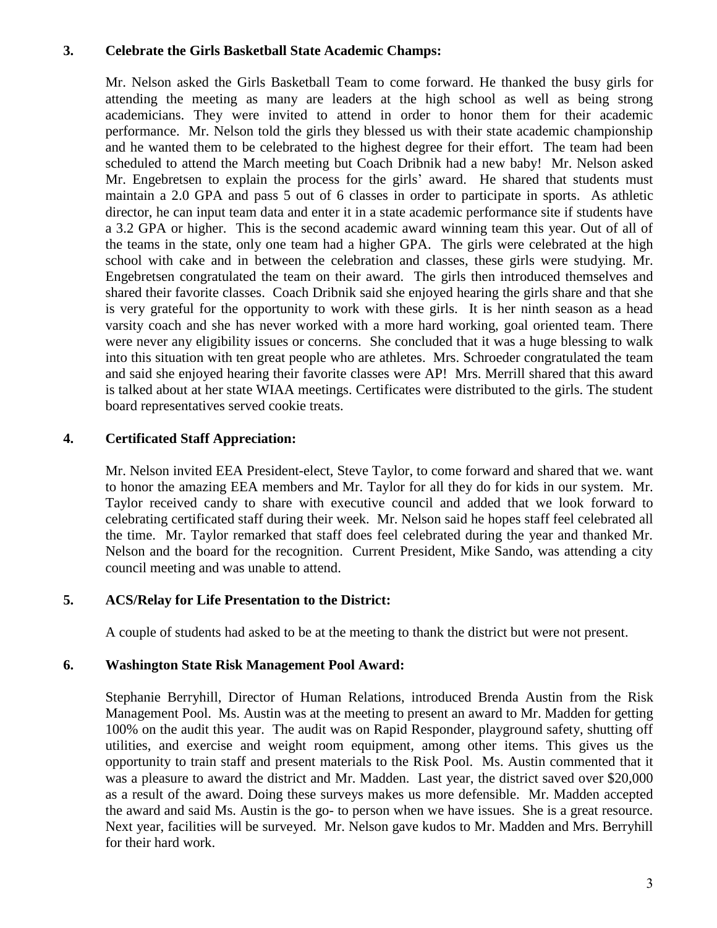### **3. Celebrate the Girls Basketball State Academic Champs:**

Mr. Nelson asked the Girls Basketball Team to come forward. He thanked the busy girls for attending the meeting as many are leaders at the high school as well as being strong academicians. They were invited to attend in order to honor them for their academic performance. Mr. Nelson told the girls they blessed us with their state academic championship and he wanted them to be celebrated to the highest degree for their effort. The team had been scheduled to attend the March meeting but Coach Dribnik had a new baby! Mr. Nelson asked Mr. Engebretsen to explain the process for the girls' award. He shared that students must maintain a 2.0 GPA and pass 5 out of 6 classes in order to participate in sports. As athletic director, he can input team data and enter it in a state academic performance site if students have a 3.2 GPA or higher. This is the second academic award winning team this year. Out of all of the teams in the state, only one team had a higher GPA. The girls were celebrated at the high school with cake and in between the celebration and classes, these girls were studying. Mr. Engebretsen congratulated the team on their award. The girls then introduced themselves and shared their favorite classes. Coach Dribnik said she enjoyed hearing the girls share and that she is very grateful for the opportunity to work with these girls. It is her ninth season as a head varsity coach and she has never worked with a more hard working, goal oriented team. There were never any eligibility issues or concerns. She concluded that it was a huge blessing to walk into this situation with ten great people who are athletes. Mrs. Schroeder congratulated the team and said she enjoyed hearing their favorite classes were AP! Mrs. Merrill shared that this award is talked about at her state WIAA meetings. Certificates were distributed to the girls. The student board representatives served cookie treats.

## **4. Certificated Staff Appreciation:**

Mr. Nelson invited EEA President-elect, Steve Taylor, to come forward and shared that we. want to honor the amazing EEA members and Mr. Taylor for all they do for kids in our system. Mr. Taylor received candy to share with executive council and added that we look forward to celebrating certificated staff during their week. Mr. Nelson said he hopes staff feel celebrated all the time. Mr. Taylor remarked that staff does feel celebrated during the year and thanked Mr. Nelson and the board for the recognition. Current President, Mike Sando, was attending a city council meeting and was unable to attend.

## **5. ACS/Relay for Life Presentation to the District:**

A couple of students had asked to be at the meeting to thank the district but were not present.

## **6. Washington State Risk Management Pool Award:**

Stephanie Berryhill, Director of Human Relations, introduced Brenda Austin from the Risk Management Pool. Ms. Austin was at the meeting to present an award to Mr. Madden for getting 100% on the audit this year. The audit was on Rapid Responder, playground safety, shutting off utilities, and exercise and weight room equipment, among other items. This gives us the opportunity to train staff and present materials to the Risk Pool. Ms. Austin commented that it was a pleasure to award the district and Mr. Madden. Last year, the district saved over \$20,000 as a result of the award. Doing these surveys makes us more defensible. Mr. Madden accepted the award and said Ms. Austin is the go- to person when we have issues. She is a great resource. Next year, facilities will be surveyed. Mr. Nelson gave kudos to Mr. Madden and Mrs. Berryhill for their hard work.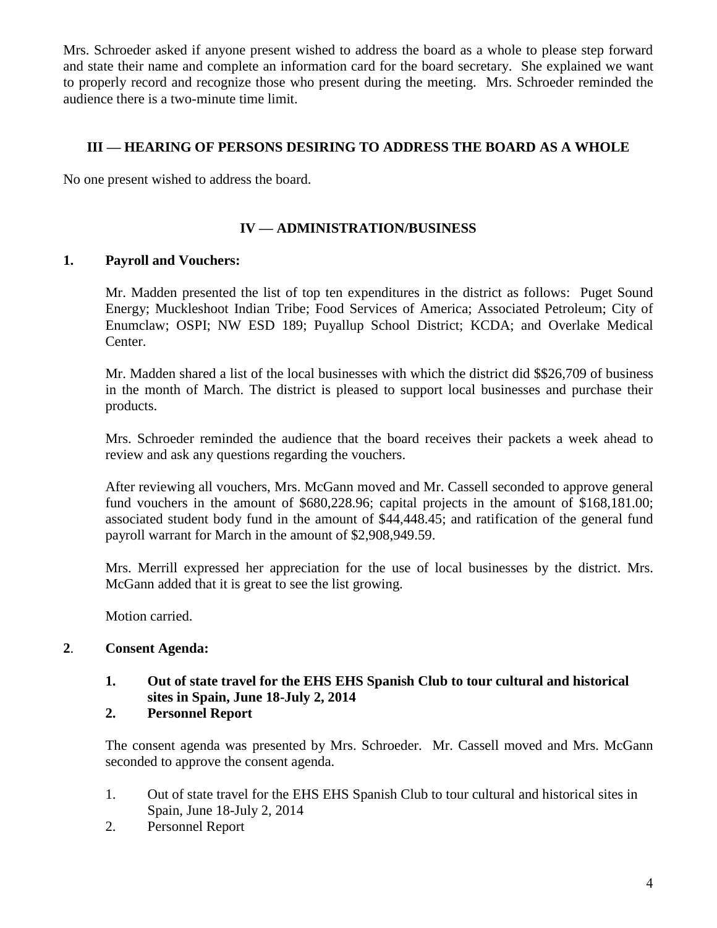Mrs. Schroeder asked if anyone present wished to address the board as a whole to please step forward and state their name and complete an information card for the board secretary. She explained we want to properly record and recognize those who present during the meeting. Mrs. Schroeder reminded the audience there is a two-minute time limit.

### **III — HEARING OF PERSONS DESIRING TO ADDRESS THE BOARD AS A WHOLE**

No one present wished to address the board.

## **IV — ADMINISTRATION/BUSINESS**

#### **1. Payroll and Vouchers:**

Mr. Madden presented the list of top ten expenditures in the district as follows: Puget Sound Energy; Muckleshoot Indian Tribe; Food Services of America; Associated Petroleum; City of Enumclaw; OSPI; NW ESD 189; Puyallup School District; KCDA; and Overlake Medical Center.

Mr. Madden shared a list of the local businesses with which the district did \$\$26,709 of business in the month of March. The district is pleased to support local businesses and purchase their products.

Mrs. Schroeder reminded the audience that the board receives their packets a week ahead to review and ask any questions regarding the vouchers.

After reviewing all vouchers, Mrs. McGann moved and Mr. Cassell seconded to approve general fund vouchers in the amount of \$680,228.96; capital projects in the amount of \$168,181.00; associated student body fund in the amount of \$44,448.45; and ratification of the general fund payroll warrant for March in the amount of \$2,908,949.59.

Mrs. Merrill expressed her appreciation for the use of local businesses by the district. Mrs. McGann added that it is great to see the list growing.

Motion carried.

#### **2**. **Consent Agenda:**

- **1. Out of state travel for the EHS EHS Spanish Club to tour cultural and historical sites in Spain, June 18-July 2, 2014**
- **2. Personnel Report**

The consent agenda was presented by Mrs. Schroeder. Mr. Cassell moved and Mrs. McGann seconded to approve the consent agenda.

- 1. Out of state travel for the EHS EHS Spanish Club to tour cultural and historical sites in Spain, June 18-July 2, 2014
- 2. Personnel Report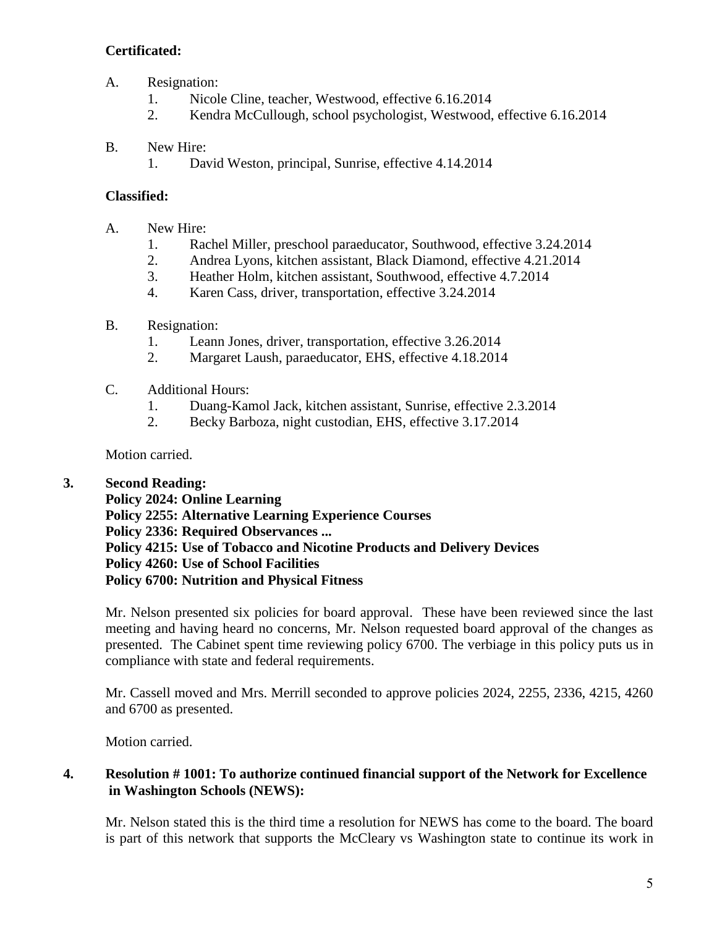# **Certificated:**

- A. Resignation:
	- 1. Nicole Cline, teacher, Westwood, effective 6.16.2014
	- 2. Kendra McCullough, school psychologist, Westwood, effective 6.16.2014

## B. New Hire:

1. David Weston, principal, Sunrise, effective 4.14.2014

## **Classified:**

- A. New Hire:
	- 1. Rachel Miller, preschool paraeducator, Southwood, effective 3.24.2014
	- 2. Andrea Lyons, kitchen assistant, Black Diamond, effective 4.21.2014
	- 3. Heather Holm, kitchen assistant, Southwood, effective 4.7.2014
	- 4. Karen Cass, driver, transportation, effective 3.24.2014
- B. Resignation:
	- 1. Leann Jones, driver, transportation, effective 3.26.2014
	- 2. Margaret Laush, paraeducator, EHS, effective 4.18.2014
- C. Additional Hours:
	- 1. Duang-Kamol Jack, kitchen assistant, Sunrise, effective 2.3.2014
	- 2. Becky Barboza, night custodian, EHS, effective 3.17.2014

Motion carried.

# **3. Second Reading:**

**Policy 2024: Online Learning Policy 2255: Alternative Learning Experience Courses Policy 2336: Required Observances ... Policy 4215: Use of Tobacco and Nicotine Products and Delivery Devices Policy 4260: Use of School Facilities Policy 6700: Nutrition and Physical Fitness**

Mr. Nelson presented six policies for board approval. These have been reviewed since the last meeting and having heard no concerns, Mr. Nelson requested board approval of the changes as presented. The Cabinet spent time reviewing policy 6700. The verbiage in this policy puts us in compliance with state and federal requirements.

Mr. Cassell moved and Mrs. Merrill seconded to approve policies 2024, 2255, 2336, 4215, 4260 and 6700 as presented.

Motion carried.

# **4. Resolution # 1001: To authorize continued financial support of the Network for Excellence in Washington Schools (NEWS):**

Mr. Nelson stated this is the third time a resolution for NEWS has come to the board. The board is part of this network that supports the McCleary vs Washington state to continue its work in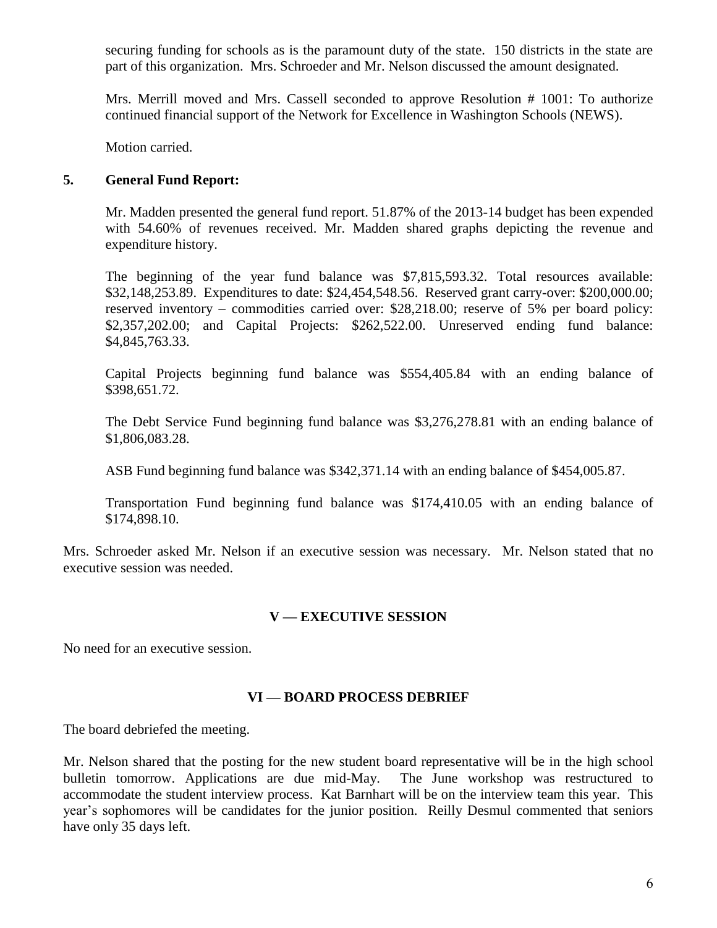securing funding for schools as is the paramount duty of the state. 150 districts in the state are part of this organization. Mrs. Schroeder and Mr. Nelson discussed the amount designated.

Mrs. Merrill moved and Mrs. Cassell seconded to approve Resolution # 1001: To authorize continued financial support of the Network for Excellence in Washington Schools (NEWS).

Motion carried.

### **5. General Fund Report:**

Mr. Madden presented the general fund report. 51.87% of the 2013-14 budget has been expended with 54.60% of revenues received. Mr. Madden shared graphs depicting the revenue and expenditure history.

The beginning of the year fund balance was \$7,815,593.32. Total resources available: \$32,148,253.89. Expenditures to date: \$24,454,548.56. Reserved grant carry-over: \$200,000.00; reserved inventory – commodities carried over: \$28,218.00; reserve of 5% per board policy: \$2,357,202.00; and Capital Projects: \$262,522.00. Unreserved ending fund balance: \$4,845,763.33.

Capital Projects beginning fund balance was \$554,405.84 with an ending balance of \$398,651.72.

The Debt Service Fund beginning fund balance was \$3,276,278.81 with an ending balance of \$1,806,083.28.

ASB Fund beginning fund balance was \$342,371.14 with an ending balance of \$454,005.87.

Transportation Fund beginning fund balance was \$174,410.05 with an ending balance of \$174,898.10.

Mrs. Schroeder asked Mr. Nelson if an executive session was necessary. Mr. Nelson stated that no executive session was needed.

#### **V — EXECUTIVE SESSION**

No need for an executive session.

#### **VI — BOARD PROCESS DEBRIEF**

The board debriefed the meeting.

Mr. Nelson shared that the posting for the new student board representative will be in the high school bulletin tomorrow. Applications are due mid-May. The June workshop was restructured to accommodate the student interview process. Kat Barnhart will be on the interview team this year. This year's sophomores will be candidates for the junior position. Reilly Desmul commented that seniors have only 35 days left.